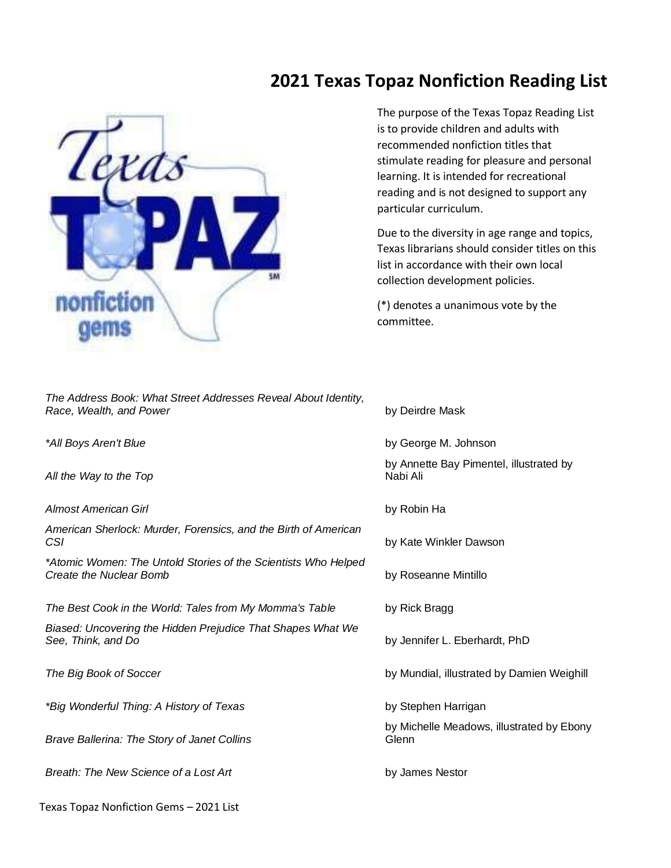## **2021 Texas Topaz Nonfiction Reading List**



*The Address Book: What Street Addresses Reveal About Identity, Race, Wealth, and Power* **by Deirdre Mask** 

*\*All Boys Aren't Blue* by George M. Johnson

*All the Way to the Top*

*Almost American Girl* by Robin Ha

*American Sherlock: Murder, Forensics, and the Birth of American*  **CSI** by Kate Winkler Dawson

*\*Atomic Women: The Untold Stories of the Scientists Who Helped*  **Create the Nuclear Bomb by Roseanne Mintillo** 

*The Best Cook in the World: Tales from My Momma's Table* by Rick Bragg

*Biased: Uncovering the Hidden Prejudice That Shapes What We See, Think, and Do* by Jennifer L. Eberhardt, PhD

*\*Big Wonderful Thing: A History of Texas* by Stephen Harrigan

*Brave Ballerina: The Story of Janet Collins*

*Breath: The New Science of a Lost Art* **by James Nestor** 

The purpose of the Texas Topaz Reading List is to provide children and adults with recommended nonfiction titles that stimulate reading for pleasure and personal learning. It is intended for recreational reading and is not designed to support any particular curriculum.

Due to the diversity in age range and topics, Texas librarians should consider titles on this list in accordance with their own local collection development policies.

(\*) denotes a unanimous vote by the committee.

by Annette Bay Pimentel, illustrated by Nabi Ali

*The Big Book of Soccer* by Mundial, illustrated by Damien Weighill

by Michelle Meadows, illustrated by Ebony Glenn

Texas Topaz Nonfiction Gems – 2021 List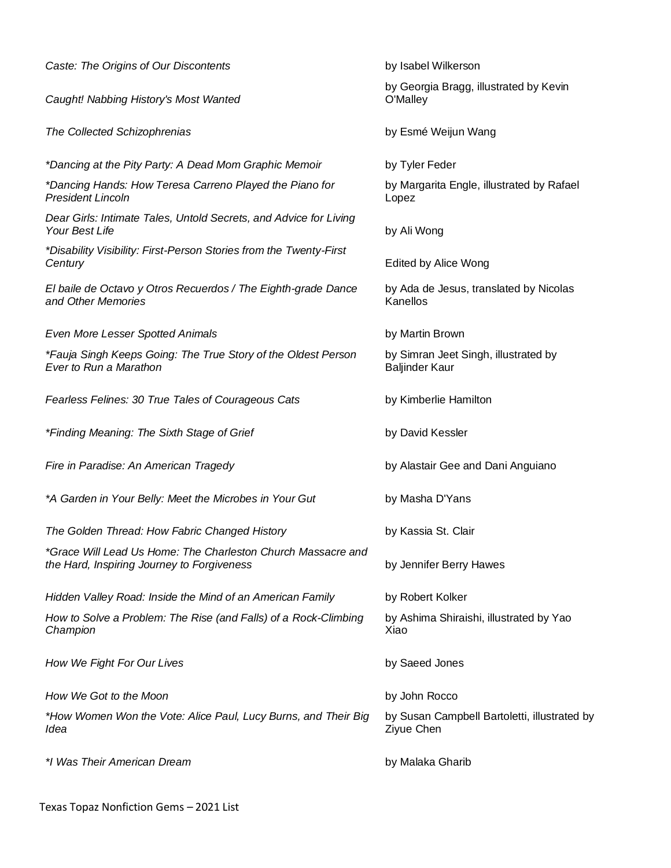| Caste: The Origins of Our Discontents                                                                      | by Isabel Wilkerson                                           |
|------------------------------------------------------------------------------------------------------------|---------------------------------------------------------------|
| Caught! Nabbing History's Most Wanted                                                                      | by Georgia Bragg, illustrated by Kevin<br>O'Malley            |
| The Collected Schizophrenias                                                                               | by Esmé Weijun Wang                                           |
| *Dancing at the Pity Party: A Dead Mom Graphic Memoir                                                      | by Tyler Feder                                                |
| *Dancing Hands: How Teresa Carreno Played the Piano for<br><b>President Lincoln</b>                        | by Margarita Engle, illustrated by Rafael<br>Lopez            |
| Dear Girls: Intimate Tales, Untold Secrets, and Advice for Living<br>Your Best Life                        | by Ali Wong                                                   |
| *Disability Visibility: First-Person Stories from the Twenty-First<br>Century                              | Edited by Alice Wong                                          |
| El baile de Octavo y Otros Recuerdos / The Eighth-grade Dance<br>and Other Memories                        | by Ada de Jesus, translated by Nicolas<br>Kanellos            |
| Even More Lesser Spotted Animals                                                                           | by Martin Brown                                               |
| *Fauja Singh Keeps Going: The True Story of the Oldest Person<br>Ever to Run a Marathon                    | by Simran Jeet Singh, illustrated by<br><b>Baljinder Kaur</b> |
| Fearless Felines: 30 True Tales of Courageous Cats                                                         | by Kimberlie Hamilton                                         |
| *Finding Meaning: The Sixth Stage of Grief                                                                 | by David Kessler                                              |
| Fire in Paradise: An American Tragedy                                                                      | by Alastair Gee and Dani Anguiano                             |
| *A Garden in Your Belly: Meet the Microbes in Your Gut                                                     | by Masha D'Yans                                               |
| The Golden Thread: How Fabric Changed History                                                              | by Kassia St. Clair                                           |
| *Grace Will Lead Us Home: The Charleston Church Massacre and<br>the Hard, Inspiring Journey to Forgiveness | by Jennifer Berry Hawes                                       |
| Hidden Valley Road: Inside the Mind of an American Family                                                  | by Robert Kolker                                              |
| How to Solve a Problem: The Rise (and Falls) of a Rock-Climbing<br>Champion                                | by Ashima Shiraishi, illustrated by Yao<br>Xiao               |
| How We Fight For Our Lives                                                                                 | by Saeed Jones                                                |
| How We Got to the Moon                                                                                     | by John Rocco                                                 |
| *How Women Won the Vote: Alice Paul, Lucy Burns, and Their Big<br>Idea                                     | by Susan Campbell Bartoletti, illustrated by<br>Ziyue Chen    |
| *I Was Their American Dream                                                                                | by Malaka Gharib                                              |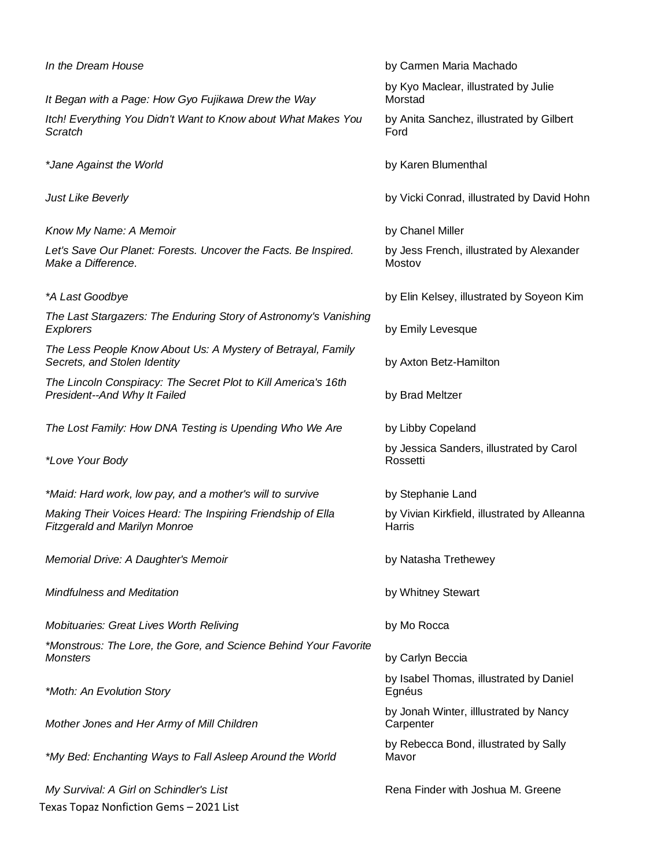| In the Dream House                                                                                  | by Carmen Maria Machado                                |
|-----------------------------------------------------------------------------------------------------|--------------------------------------------------------|
| It Began with a Page: How Gyo Fujikawa Drew the Way                                                 | by Kyo Maclear, illustrated by Julie<br>Morstad        |
| Itch! Everything You Didn't Want to Know about What Makes You<br>Scratch                            | by Anita Sanchez, illustrated by Gilbert<br>Ford       |
| *Jane Against the World                                                                             | by Karen Blumenthal                                    |
| <b>Just Like Beverly</b>                                                                            | by Vicki Conrad, illustrated by David Hohn             |
| Know My Name: A Memoir                                                                              | by Chanel Miller                                       |
| Let's Save Our Planet: Forests. Uncover the Facts. Be Inspired.<br>Make a Difference.               | by Jess French, illustrated by Alexander<br>Mostov     |
| *A Last Goodbye                                                                                     | by Elin Kelsey, illustrated by Soyeon Kim              |
| The Last Stargazers: The Enduring Story of Astronomy's Vanishing<br>Explorers                       | by Emily Levesque                                      |
| The Less People Know About Us: A Mystery of Betrayal, Family<br>Secrets, and Stolen Identity        | by Axton Betz-Hamilton                                 |
| The Lincoln Conspiracy: The Secret Plot to Kill America's 16th<br>President--And Why It Failed      | by Brad Meltzer                                        |
| The Lost Family: How DNA Testing is Upending Who We Are                                             | by Libby Copeland                                      |
| *Love Your Body                                                                                     | by Jessica Sanders, illustrated by Carol<br>Rossetti   |
| *Maid: Hard work, low pay, and a mother's will to survive                                           | by Stephanie Land                                      |
| Making Their Voices Heard: The Inspiring Friendship of Ella<br><b>Fitzgerald and Marilyn Monroe</b> | by Vivian Kirkfield, illustrated by Alleanna<br>Harris |
| Memorial Drive: A Daughter's Memoir                                                                 | by Natasha Trethewey                                   |
| <b>Mindfulness and Meditation</b>                                                                   | by Whitney Stewart                                     |
| <b>Mobituaries: Great Lives Worth Reliving</b>                                                      | by Mo Rocca                                            |
| *Monstrous: The Lore, the Gore, and Science Behind Your Favorite<br><b>Monsters</b>                 | by Carlyn Beccia                                       |
| *Moth: An Evolution Story                                                                           | by Isabel Thomas, illustrated by Daniel<br>Egnéus      |
| Mother Jones and Her Army of Mill Children                                                          | by Jonah Winter, illlustrated by Nancy<br>Carpenter    |
| *My Bed: Enchanting Ways to Fall Asleep Around the World                                            | by Rebecca Bond, illustrated by Sally<br>Mavor         |
| My Survival: A Girl on Schindler's List                                                             | Rena Finder with Joshua M. Greene                      |
| Texas Topaz Nonfiction Gems - 2021 List                                                             |                                                        |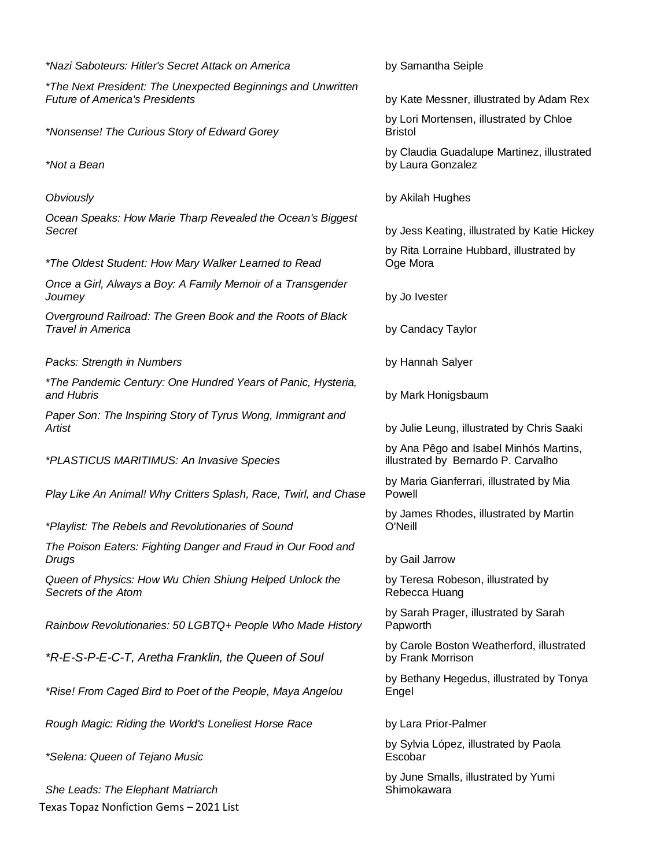Texas Topaz Nonfiction Gems – 2021 List *\*The Next President: The Unexpected Beginnings and Unwritten Future of America's Presidents* by Kate Messner, illustrated by Adam Rex *\*Nonsense! The Curious Story of Edward Gorey \*Not a Bean Obviously* by Akilah Hughes *Ocean Speaks: How Marie Tharp Revealed the Ocean's Biggest Secret* by Jess Keating, illustrated by Katie Hickey *\*The Oldest Student: How Mary Walker Learned to Read Once a Girl, Always a Boy: A Family Memoir of a Transgender Journey* by Jo Ivester *Overground Railroad: The Green Book and the Roots of Black Travel in America* by Candacy Taylor **Packs: Strength in Numbers by Hannah Salyer** by Hannah Salyer *\*The Pandemic Century: One Hundred Years of Panic, Hysteria, and Hubris* by Mark Honigsbaum *Paper Son: The Inspiring Story of Tyrus Wong, Immigrant and Artist* by Julie Leung, illustrated by Chris Saaki *\*PLASTICUS MARITIMUS: An Invasive Species Play Like An Animal! Why Critters Splash, Race, Twirl, and Chase \*Playlist: The Rebels and Revolutionaries of Sound The Poison Eaters: Fighting Danger and Fraud in Our Food and Drugs* by Gail Jarrow *Queen of Physics: How Wu Chien Shiung Helped Unlock the Secrets of the Atom Rainbow Revolutionaries: 50 LGBTQ+ People Who Made History \*R-E-S-P-E-C-T, Aretha Franklin, the Queen of Soul \*Rise! From Caged Bird to Poet of the People, Maya Angelou Rough Magic: Riding the World's Loneliest Horse Race* by Lara Prior-Palmer *\*Selena: Queen of Tejano Music She Leads: The Elephant Matriarch*

*\*Nazi Saboteurs: Hitler's Secret Attack on America* by Samantha Seiple

by Lori Mortensen, illustrated by Chloe Bristol

by Claudia Guadalupe Martinez, illustrated by Laura Gonzalez

by Rita Lorraine Hubbard, illustrated by Oge Mora

by Ana Pêgo and Isabel Minhós Martins, illustrated by Bernardo P. Carvalho

by Maria Gianferrari, illustrated by Mia Powell

by James Rhodes, illustrated by Martin O'Neill

by Teresa Robeson, illustrated by Rebecca Huang

by Sarah Prager, illustrated by Sarah Papworth

by Carole Boston Weatherford, illustrated by Frank Morrison

by Bethany Hegedus, illustrated by Tonya Engel

by Sylvia López, illustrated by Paola Escobar

by June Smalls, illustrated by Yumi Shimokawara